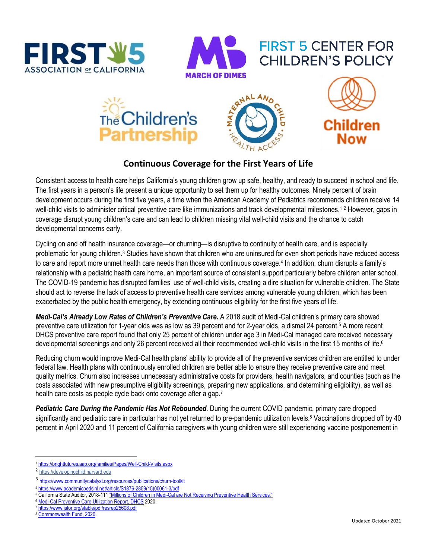



## **FIRST 5 CENTER FOR CHILDREN'S POLICY**



## **Continuous Coverage for the First Years of Life**

Consistent access to health care helps California's young children grow up safe, healthy, and ready to succeed in school and life. The first years in a person's life present a unique opportunity to set them up for healthy outcomes. Ninety percent of brain development occurs during the first five years, a time when the American Academy of Pediatrics recommends children receive 14 well-child visits to administer critical preventive care like immunizations and track developmental milestones.<sup>12</sup> However, gaps in coverage disrupt young children's care and can lead to children missing vital well-child visits and the chance to catch developmental concerns early.

Cycling on and off health insurance coverage—or churning—is disruptive to continuity of health care, and is especially problematic for young children.<sup>3</sup> Studies have shown that children who are uninsured for even short periods have reduced access to care and report more unmet health care needs than those with continuous coverage.<sup>4</sup> In addition, churn disrupts a family's relationship with a pediatric health care home, an important source of consistent support particularly before children enter school. The COVID-19 pandemic has disrupted families' use of well-child visits, creating a dire situation for vulnerable children. The State should act to reverse the lack of access to preventive health care services among vulnerable young children, which has been exacerbated by the public health emergency, by extending continuous eligibility for the first five years of life.

*Medi-Cal's Already Low Rates of Children's Preventive Care.* A 2018 audit of Medi-Cal children's primary care showed preventive care utilization for 1-year olds was as low as 39 percent and for 2-year olds, a dismal 24 percent. <sup>5</sup> A more recent DHCS preventive care report found that only 25 percent of children under age 3 in Medi-Cal managed care received necessary developmental screenings and only 26 percent received all their recommended well-child visits in the first 15 months of life.<sup>6</sup>

Reducing churn would improve Medi-Cal health plans' ability to provide all of the preventive services children are entitled to under federal law. Health plans with continuously enrolled children are better able to ensure they receive preventive care and meet quality metrics. Churn also increases unnecessary administrative costs for providers, health navigators, and counties (such as the costs associated with new presumptive eligibility screenings, preparing new applications, and determining eligibility), as well as health care costs as people cycle back onto coverage after a gap.<sup>7</sup>

*Pediatric Care During the Pandemic Has Not Rebounded.* During the current COVID pandemic, primary care dropped significantly and pediatric care in particular has not yet returned to pre-pandemic utilization levels.<sup>8</sup> Vaccinations dropped off by 40 percent in April 2020 and 11 percent of California caregivers with young children were still experiencing vaccine postponement in

 $\overline{a}$ <sup>1</sup> <https://brightfutures.aap.org/families/Pages/Well-Child-Visits.aspx>

<sup>2</sup> [https://developingchild.harvard.edu](https://developingchild.harvard.edu/) 

<sup>3</sup> <https://www.communitycatalyst.org/resources/publications/churn-toolkit>

<sup>4</sup> [https://www.academicpedsjnl.net/article/S1876-2859\(15\)00061-3/pdf](https://www.academicpedsjnl.net/article/S1876-2859(15)00061-3/pdf)

<sup>5</sup> California State Auditor, 2018-111 "Millions of Children in Medi-[Cal are Not Receiving Preventive Health Services."](https://www.auditor.ca.gov/reports/2018-111/index.html)

<sup>6</sup> [Medi-Cal Preventive Care Utilization Report, DHCS](https://www.dhcs.ca.gov/Documents/MCQMD/2020-Preventive-Services-Report.pdf) 2020.

<sup>7</sup> <https://www.jstor.org/stable/pdf/resrep25608.pdf>

<sup>8</sup> [Commonwealth Fund, 2020.](https://www.commonwealthfund.org/publications/2020/oct/impact-covid-19-pandemic-outpatient-care-visits-return-prepandemic-levels)